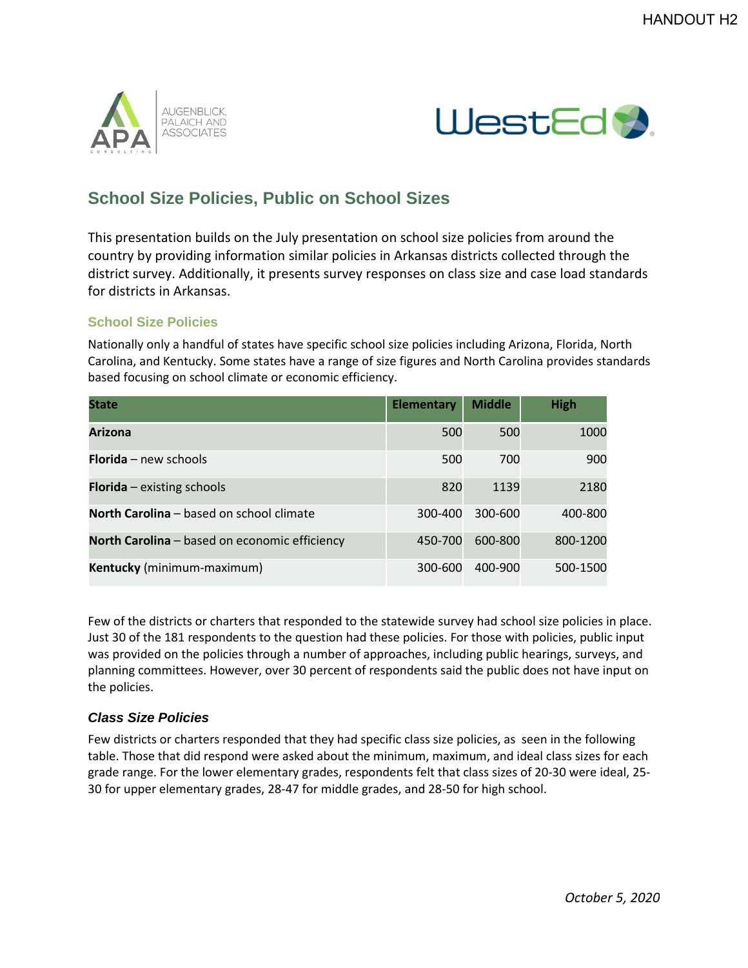



## **School Size Policies, Public on School Sizes**

This presentation builds on the July presentation on school size policies from around the country by providing information similar policies in Arkansas districts collected through the district survey. Additionally, it presents survey responses on class size and case load standards for districts in Arkansas.

## **School Size Policies**

Nationally only a handful of states have specific school size policies including Arizona, Florida, North Carolina, and Kentucky. Some states have a range of size figures and North Carolina provides standards based focusing on school climate or economic efficiency.

| <b>State</b>                                         | <b>Elementary</b> | <b>Middle</b> | <b>High</b> |
|------------------------------------------------------|-------------------|---------------|-------------|
| <b>Arizona</b>                                       | 500               | 500           | 1000        |
| <b>Florida</b> – new schools                         | 500               | 700           | 900         |
| <b>Florida</b> $-$ existing schools                  | 820               | 1139          | 2180        |
| North Carolina – based on school climate             | 300-400           | 300-600       | 400-800     |
| <b>North Carolina</b> – based on economic efficiency | 450-700           | 600-800       | 800-1200    |
| Kentucky (minimum-maximum)                           | 300-600           | 400-900       | 500-1500    |

Few of the districts or charters that responded to the statewide survey had school size policies in place. Just 30 of the 181 respondents to the question had these policies. For those with policies, public input was provided on the policies through a number of approaches, including public hearings, surveys, and planning committees. However, over 30 percent of respondents said the public does not have input on the policies.

## *Class Size Policies*

Few districts or charters responded that they had specific class size policies, as seen in the following table. Those that did respond were asked about the minimum, maximum, and ideal class sizes for each grade range. For the lower elementary grades, respondents felt that class sizes of 20-30 were ideal, 25- 30 for upper elementary grades, 28-47 for middle grades, and 28-50 for high school.